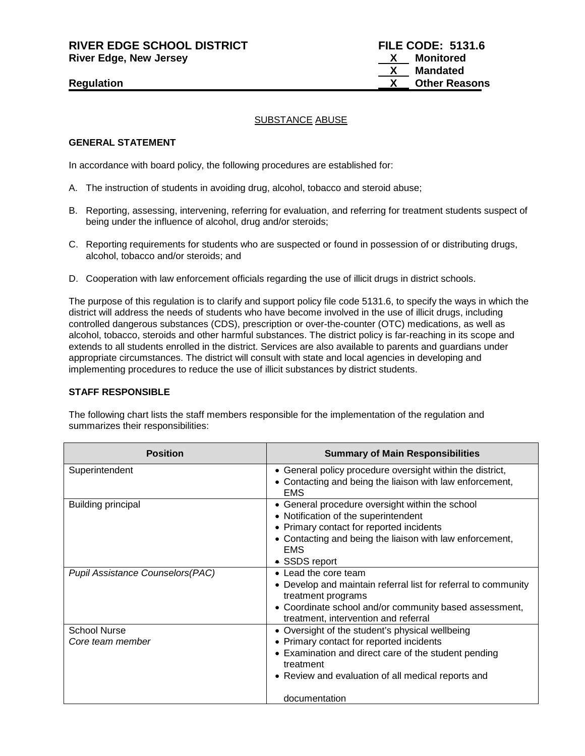**RIVER EDGE SCHOOL DISTRICT FILE CODE: 5131.6 River Edge, New Jersey X Monitored**

# SUBSTANCE ABUSE

### **GENERAL STATEMENT**

In accordance with board policy, the following procedures are established for:

- A. The instruction of students in avoiding drug, alcohol, tobacco and steroid abuse;
- B. Reporting, assessing, intervening, referring for evaluation, and referring for treatment students suspect of being under the influence of alcohol, drug and/or steroids;
- C. Reporting requirements for students who are suspected or found in possession of or distributing drugs, alcohol, tobacco and/or steroids; and
- D. Cooperation with law enforcement officials regarding the use of illicit drugs in district schools.

The purpose of this regulation is to clarify and support policy file code 5131.6, to specify the ways in which the district will address the needs of students who have become involved in the use of illicit drugs, including controlled dangerous substances (CDS), prescription or over-the-counter (OTC) medications, as well as alcohol, tobacco, steroids and other harmful substances. The district policy is far-reaching in its scope and extends to all students enrolled in the district. Services are also available to parents and guardians under appropriate circumstances. The district will consult with state and local agencies in developing and implementing procedures to reduce the use of illicit substances by district students.

# **STAFF RESPONSIBLE**

The following chart lists the staff members responsible for the implementation of the regulation and summarizes their responsibilities:

| <b>Position</b>                          | <b>Summary of Main Responsibilities</b>                                |
|------------------------------------------|------------------------------------------------------------------------|
| Superintendent                           | • General policy procedure oversight within the district,              |
|                                          | • Contacting and being the liaison with law enforcement,<br><b>EMS</b> |
| <b>Building principal</b>                | • General procedure oversight within the school                        |
|                                          | • Notification of the superintendent                                   |
|                                          | • Primary contact for reported incidents                               |
|                                          | • Contacting and being the liaison with law enforcement,               |
|                                          | <b>EMS</b>                                                             |
|                                          | • SSDS report                                                          |
| <b>Pupil Assistance Counselors (PAC)</b> | • Lead the core team                                                   |
|                                          | • Develop and maintain referral list for referral to community         |
|                                          | treatment programs                                                     |
|                                          | • Coordinate school and/or community based assessment,                 |
|                                          | treatment, intervention and referral                                   |
| <b>School Nurse</b>                      | • Oversight of the student's physical wellbeing                        |
| Core team member                         | • Primary contact for reported incidents                               |
|                                          | • Examination and direct care of the student pending<br>treatment      |
|                                          | • Review and evaluation of all medical reports and                     |
|                                          | documentation                                                          |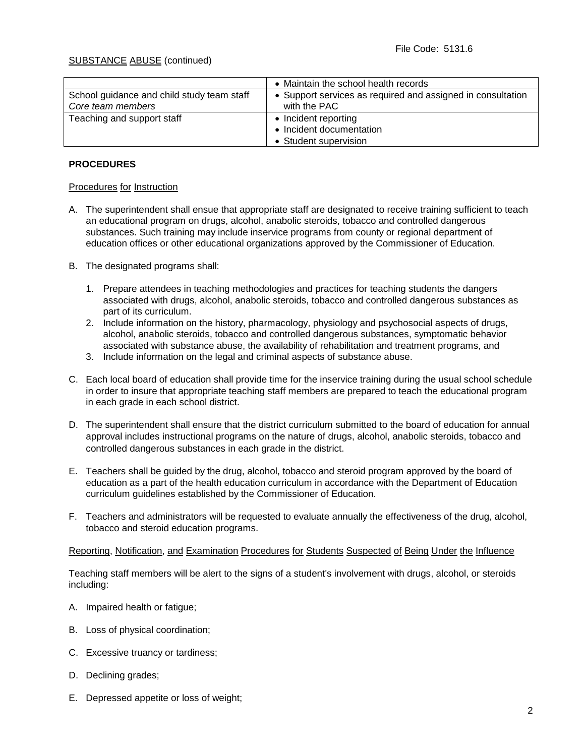|                                            | • Maintain the school health records                        |
|--------------------------------------------|-------------------------------------------------------------|
| School guidance and child study team staff | • Support services as required and assigned in consultation |
| Core team members                          | with the PAC                                                |
| Teaching and support staff                 | Incident reporting                                          |
|                                            | • Incident documentation                                    |
|                                            | • Student supervision                                       |

### **PROCEDURES**

#### Procedures for Instruction

- A. The superintendent shall ensue that appropriate staff are designated to receive training sufficient to teach an educational program on drugs, alcohol, anabolic steroids, tobacco and controlled dangerous substances. Such training may include inservice programs from county or regional department of education offices or other educational organizations approved by the Commissioner of Education.
- B. The designated programs shall:
	- 1. Prepare attendees in teaching methodologies and practices for teaching students the dangers associated with drugs, alcohol, anabolic steroids, tobacco and controlled dangerous substances as part of its curriculum.
	- 2. Include information on the history, pharmacology, physiology and psychosocial aspects of drugs, alcohol, anabolic steroids, tobacco and controlled dangerous substances, symptomatic behavior associated with substance abuse, the availability of rehabilitation and treatment programs, and
	- 3. Include information on the legal and criminal aspects of substance abuse.
- C. Each local board of education shall provide time for the inservice training during the usual school schedule in order to insure that appropriate teaching staff members are prepared to teach the educational program in each grade in each school district.
- D. The superintendent shall ensure that the district curriculum submitted to the board of education for annual approval includes instructional programs on the nature of drugs, alcohol, anabolic steroids, tobacco and controlled dangerous substances in each grade in the district.
- E. Teachers shall be guided by the drug, alcohol, tobacco and steroid program approved by the board of education as a part of the health education curriculum in accordance with the Department of Education curriculum guidelines established by the Commissioner of Education.
- F. Teachers and administrators will be requested to evaluate annually the effectiveness of the drug, alcohol, tobacco and steroid education programs.

Reporting, Notification, and Examination Procedures for Students Suspected of Being Under the Influence

Teaching staff members will be alert to the signs of a student's involvement with drugs, alcohol, or steroids including:

- A. Impaired health or fatigue;
- B. Loss of physical coordination;
- C. Excessive truancy or tardiness;
- D. Declining grades;
- E. Depressed appetite or loss of weight;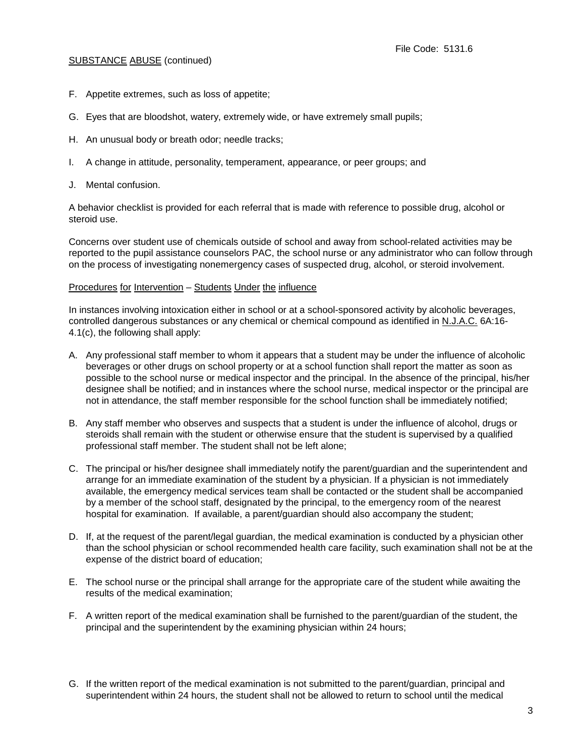- F. Appetite extremes, such as loss of appetite;
- G. Eyes that are bloodshot, watery, extremely wide, or have extremely small pupils;
- H. An unusual body or breath odor; needle tracks;
- I. A change in attitude, personality, temperament, appearance, or peer groups; and
- J. Mental confusion.

A behavior checklist is provided for each referral that is made with reference to possible drug, alcohol or steroid use.

Concerns over student use of chemicals outside of school and away from school-related activities may be reported to the pupil assistance counselors PAC, the school nurse or any administrator who can follow through on the process of investigating nonemergency cases of suspected drug, alcohol, or steroid involvement.

#### Procedures for Intervention – Students Under the influence

In instances involving intoxication either in school or at a school-sponsored activity by alcoholic beverages, controlled dangerous substances or any chemical or chemical compound as identified in N.J.A.C. 6A:16- 4.1(c), the following shall apply:

- A. Any professional staff member to whom it appears that a student may be under the influence of alcoholic beverages or other drugs on school property or at a school function shall report the matter as soon as possible to the school nurse or medical inspector and the principal. In the absence of the principal, his/her designee shall be notified; and in instances where the school nurse, medical inspector or the principal are not in attendance, the staff member responsible for the school function shall be immediately notified;
- B. Any staff member who observes and suspects that a student is under the influence of alcohol, drugs or steroids shall remain with the student or otherwise ensure that the student is supervised by a qualified professional staff member. The student shall not be left alone;
- C. The principal or his/her designee shall immediately notify the parent/guardian and the superintendent and arrange for an immediate examination of the student by a physician. If a physician is not immediately available, the emergency medical services team shall be contacted or the student shall be accompanied by a member of the school staff, designated by the principal, to the emergency room of the nearest hospital for examination. If available, a parent/guardian should also accompany the student;
- D. If, at the request of the parent/legal guardian, the medical examination is conducted by a physician other than the school physician or school recommended health care facility, such examination shall not be at the expense of the district board of education;
- E. The school nurse or the principal shall arrange for the appropriate care of the student while awaiting the results of the medical examination;
- F. A written report of the medical examination shall be furnished to the parent/guardian of the student, the principal and the superintendent by the examining physician within 24 hours;
- G. If the written report of the medical examination is not submitted to the parent/guardian, principal and superintendent within 24 hours, the student shall not be allowed to return to school until the medical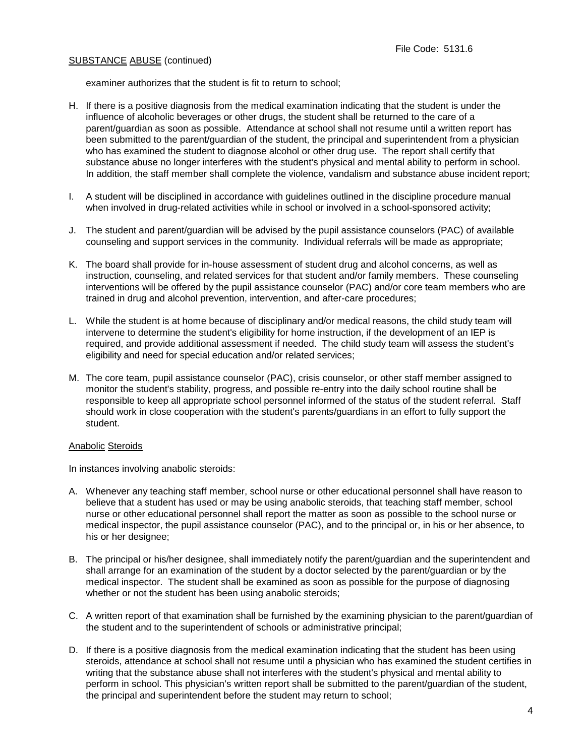examiner authorizes that the student is fit to return to school;

- H. If there is a positive diagnosis from the medical examination indicating that the student is under the influence of alcoholic beverages or other drugs, the student shall be returned to the care of a parent/guardian as soon as possible. Attendance at school shall not resume until a written report has been submitted to the parent/guardian of the student, the principal and superintendent from a physician who has examined the student to diagnose alcohol or other drug use. The report shall certify that substance abuse no longer interferes with the student's physical and mental ability to perform in school. In addition, the staff member shall complete the violence, vandalism and substance abuse incident report;
- I. A student will be disciplined in accordance with guidelines outlined in the discipline procedure manual when involved in drug-related activities while in school or involved in a school-sponsored activity;
- J. The student and parent/guardian will be advised by the pupil assistance counselors (PAC) of available counseling and support services in the community. Individual referrals will be made as appropriate;
- K. The board shall provide for in-house assessment of student drug and alcohol concerns, as well as instruction, counseling, and related services for that student and/or family members. These counseling interventions will be offered by the pupil assistance counselor (PAC) and/or core team members who are trained in drug and alcohol prevention, intervention, and after-care procedures;
- L. While the student is at home because of disciplinary and/or medical reasons, the child study team will intervene to determine the student's eligibility for home instruction, if the development of an IEP is required, and provide additional assessment if needed. The child study team will assess the student's eligibility and need for special education and/or related services;
- M. The core team, pupil assistance counselor (PAC), crisis counselor, or other staff member assigned to monitor the student's stability, progress, and possible re-entry into the daily school routine shall be responsible to keep all appropriate school personnel informed of the status of the student referral. Staff should work in close cooperation with the student's parents/guardians in an effort to fully support the student.

#### Anabolic Steroids

In instances involving anabolic steroids:

- A. Whenever any teaching staff member, school nurse or other educational personnel shall have reason to believe that a student has used or may be using anabolic steroids, that teaching staff member, school nurse or other educational personnel shall report the matter as soon as possible to the school nurse or medical inspector, the pupil assistance counselor (PAC), and to the principal or, in his or her absence, to his or her designee;
- B. The principal or his/her designee, shall immediately notify the parent/guardian and the superintendent and shall arrange for an examination of the student by a doctor selected by the parent/guardian or by the medical inspector. The student shall be examined as soon as possible for the purpose of diagnosing whether or not the student has been using anabolic steroids;
- C. A written report of that examination shall be furnished by the examining physician to the parent/guardian of the student and to the superintendent of schools or administrative principal;
- D. If there is a positive diagnosis from the medical examination indicating that the student has been using steroids, attendance at school shall not resume until a physician who has examined the student certifies in writing that the substance abuse shall not interferes with the student's physical and mental ability to perform in school. This physician's written report shall be submitted to the parent/guardian of the student, the principal and superintendent before the student may return to school;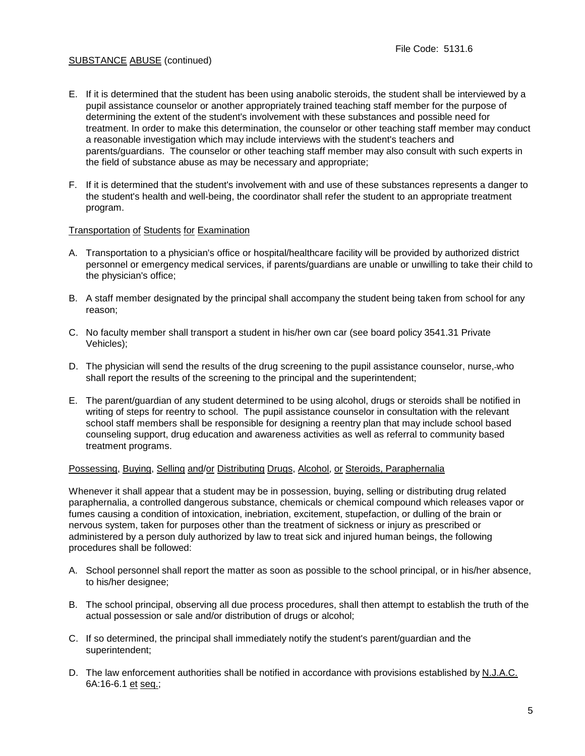- E. If it is determined that the student has been using anabolic steroids, the student shall be interviewed by a pupil assistance counselor or another appropriately trained teaching staff member for the purpose of determining the extent of the student's involvement with these substances and possible need for treatment. In order to make this determination, the counselor or other teaching staff member may conduct a reasonable investigation which may include interviews with the student's teachers and parents/guardians. The counselor or other teaching staff member may also consult with such experts in the field of substance abuse as may be necessary and appropriate;
- F. If it is determined that the student's involvement with and use of these substances represents a danger to the student's health and well-being, the coordinator shall refer the student to an appropriate treatment program.

#### Transportation of Students for Examination

- A. Transportation to a physician's office or hospital/healthcare facility will be provided by authorized district personnel or emergency medical services, if parents/guardians are unable or unwilling to take their child to the physician's office;
- B. A staff member designated by the principal shall accompany the student being taken from school for any reason;
- C. No faculty member shall transport a student in his/her own car (see board policy 3541.31 Private Vehicles);
- D. The physician will send the results of the drug screening to the pupil assistance counselor, nurse,-who shall report the results of the screening to the principal and the superintendent;
- E. The parent/guardian of any student determined to be using alcohol, drugs or steroids shall be notified in writing of steps for reentry to school. The pupil assistance counselor in consultation with the relevant school staff members shall be responsible for designing a reentry plan that may include school based counseling support, drug education and awareness activities as well as referral to community based treatment programs.

#### Possessing, Buying, Selling and/or Distributing Drugs, Alcohol, or Steroids, Paraphernalia

Whenever it shall appear that a student may be in possession, buying, selling or distributing drug related paraphernalia, a controlled dangerous substance, chemicals or chemical compound which releases vapor or fumes causing a condition of intoxication, inebriation, excitement, stupefaction, or dulling of the brain or nervous system, taken for purposes other than the treatment of sickness or injury as prescribed or administered by a person duly authorized by law to treat sick and injured human beings, the following procedures shall be followed:

- A. School personnel shall report the matter as soon as possible to the school principal, or in his/her absence, to his/her designee;
- B. The school principal, observing all due process procedures, shall then attempt to establish the truth of the actual possession or sale and/or distribution of drugs or alcohol;
- C. If so determined, the principal shall immediately notify the student's parent/guardian and the superintendent;
- D. The law enforcement authorities shall be notified in accordance with provisions established by N.J.A.C. 6A:16-6.1 et seq.;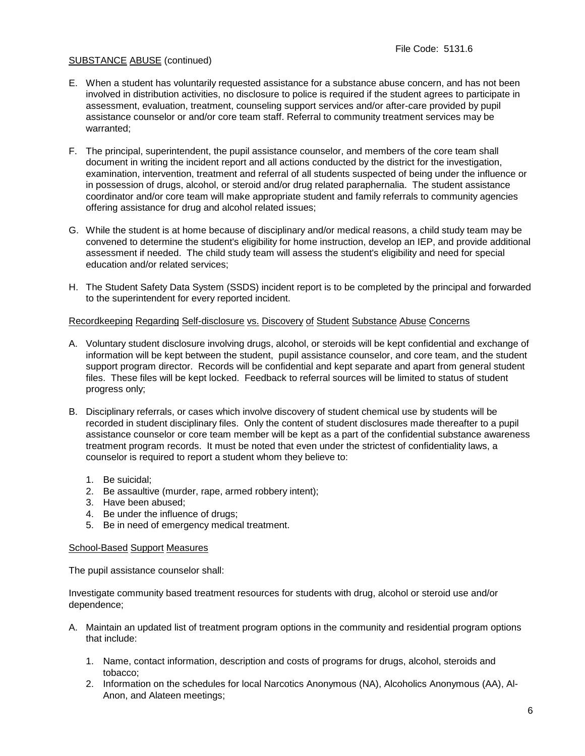- E. When a student has voluntarily requested assistance for a substance abuse concern, and has not been involved in distribution activities, no disclosure to police is required if the student agrees to participate in assessment, evaluation, treatment, counseling support services and/or after-care provided by pupil assistance counselor or and/or core team staff. Referral to community treatment services may be warranted;
- F. The principal, superintendent, the pupil assistance counselor, and members of the core team shall document in writing the incident report and all actions conducted by the district for the investigation, examination, intervention, treatment and referral of all students suspected of being under the influence or in possession of drugs, alcohol, or steroid and/or drug related paraphernalia. The student assistance coordinator and/or core team will make appropriate student and family referrals to community agencies offering assistance for drug and alcohol related issues;
- G. While the student is at home because of disciplinary and/or medical reasons, a child study team may be convened to determine the student's eligibility for home instruction, develop an IEP, and provide additional assessment if needed. The child study team will assess the student's eligibility and need for special education and/or related services;
- H. The Student Safety Data System (SSDS) incident report is to be completed by the principal and forwarded to the superintendent for every reported incident.

### Recordkeeping Regarding Self-disclosure vs. Discovery of Student Substance Abuse Concerns

- A. Voluntary student disclosure involving drugs, alcohol, or steroids will be kept confidential and exchange of information will be kept between the student, pupil assistance counselor, and core team, and the student support program director. Records will be confidential and kept separate and apart from general student files. These files will be kept locked. Feedback to referral sources will be limited to status of student progress only;
- B. Disciplinary referrals, or cases which involve discovery of student chemical use by students will be recorded in student disciplinary files. Only the content of student disclosures made thereafter to a pupil assistance counselor or core team member will be kept as a part of the confidential substance awareness treatment program records. It must be noted that even under the strictest of confidentiality laws, a counselor is required to report a student whom they believe to:
	- 1. Be suicidal;
	- 2. Be assaultive (murder, rape, armed robbery intent);
	- 3. Have been abused;
	- 4. Be under the influence of drugs;
	- 5. Be in need of emergency medical treatment.

#### School-Based Support Measures

The pupil assistance counselor shall:

Investigate community based treatment resources for students with drug, alcohol or steroid use and/or dependence;

- A. Maintain an updated list of treatment program options in the community and residential program options that include:
	- 1. Name, contact information, description and costs of programs for drugs, alcohol, steroids and tobacco;
	- 2. Information on the schedules for local Narcotics Anonymous (NA), Alcoholics Anonymous (AA), Al-Anon, and Alateen meetings;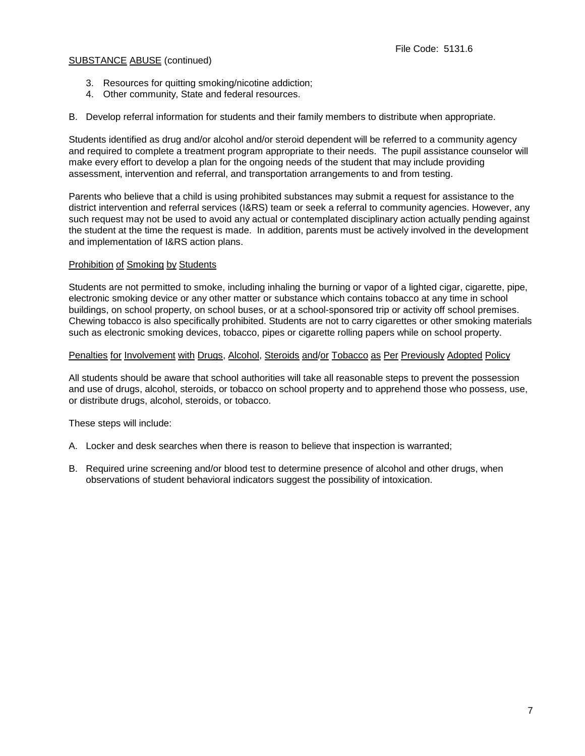- 3. Resources for quitting smoking/nicotine addiction;
- 4. Other community, State and federal resources.

B. Develop referral information for students and their family members to distribute when appropriate.

Students identified as drug and/or alcohol and/or steroid dependent will be referred to a community agency and required to complete a treatment program appropriate to their needs. The pupil assistance counselor will make every effort to develop a plan for the ongoing needs of the student that may include providing assessment, intervention and referral, and transportation arrangements to and from testing.

Parents who believe that a child is using prohibited substances may submit a request for assistance to the district intervention and referral services (I&RS) team or seek a referral to community agencies. However, any such request may not be used to avoid any actual or contemplated disciplinary action actually pending against the student at the time the request is made. In addition, parents must be actively involved in the development and implementation of I&RS action plans.

### Prohibition of Smoking by Students

Students are not permitted to smoke, including inhaling the burning or vapor of a lighted cigar, cigarette, pipe, electronic smoking device or any other matter or substance which contains tobacco at any time in school buildings, on school property, on school buses, or at a school-sponsored trip or activity off school premises. Chewing tobacco is also specifically prohibited. Students are not to carry cigarettes or other smoking materials such as electronic smoking devices, tobacco, pipes or cigarette rolling papers while on school property.

#### Penalties for Involvement with Drugs, Alcohol, Steroids and/or Tobacco as Per Previously Adopted Policy

All students should be aware that school authorities will take all reasonable steps to prevent the possession and use of drugs, alcohol, steroids, or tobacco on school property and to apprehend those who possess, use, or distribute drugs, alcohol, steroids, or tobacco.

These steps will include:

- A. Locker and desk searches when there is reason to believe that inspection is warranted;
- B. Required urine screening and/or blood test to determine presence of alcohol and other drugs, when observations of student behavioral indicators suggest the possibility of intoxication.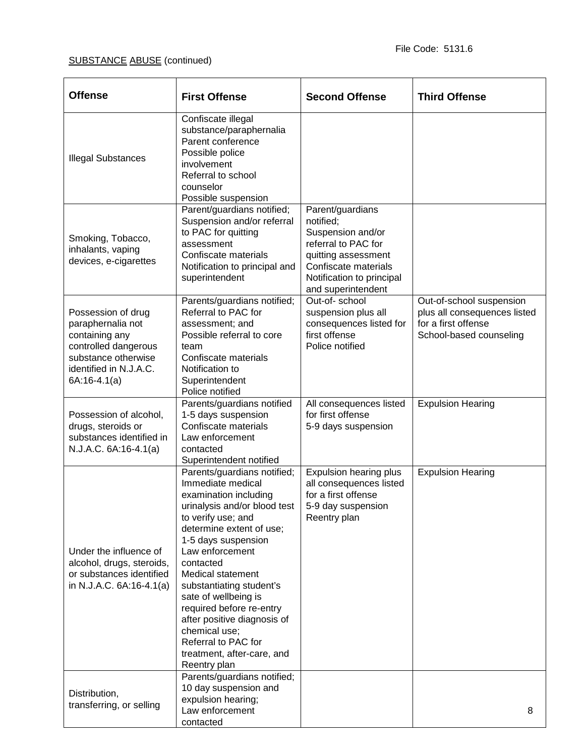| <b>Offense</b>                                                                                                                                       | <b>First Offense</b>                                                                                                                                                                                                                                                                                                                                                                                                                         | <b>Second Offense</b>                                                                                                                                                       | <b>Third Offense</b>                                                                                       |
|------------------------------------------------------------------------------------------------------------------------------------------------------|----------------------------------------------------------------------------------------------------------------------------------------------------------------------------------------------------------------------------------------------------------------------------------------------------------------------------------------------------------------------------------------------------------------------------------------------|-----------------------------------------------------------------------------------------------------------------------------------------------------------------------------|------------------------------------------------------------------------------------------------------------|
| <b>Illegal Substances</b>                                                                                                                            | Confiscate illegal<br>substance/paraphernalia<br>Parent conference<br>Possible police<br>involvement<br>Referral to school<br>counselor<br>Possible suspension                                                                                                                                                                                                                                                                               |                                                                                                                                                                             |                                                                                                            |
| Smoking, Tobacco,<br>inhalants, vaping<br>devices, e-cigarettes                                                                                      | Parent/guardians notified;<br>Suspension and/or referral<br>to PAC for quitting<br>assessment<br>Confiscate materials<br>Notification to principal and<br>superintendent                                                                                                                                                                                                                                                                     | Parent/guardians<br>notified;<br>Suspension and/or<br>referral to PAC for<br>quitting assessment<br>Confiscate materials<br>Notification to principal<br>and superintendent |                                                                                                            |
| Possession of drug<br>paraphernalia not<br>containing any<br>controlled dangerous<br>substance otherwise<br>identified in N.J.A.C.<br>$6A:16-4.1(a)$ | Parents/guardians notified;<br>Referral to PAC for<br>assessment; and<br>Possible referral to core<br>team<br>Confiscate materials<br>Notification to<br>Superintendent<br>Police notified                                                                                                                                                                                                                                                   | Out-of-school<br>suspension plus all<br>consequences listed for<br>first offense<br>Police notified                                                                         | Out-of-school suspension<br>plus all consequences listed<br>for a first offense<br>School-based counseling |
| Possession of alcohol,<br>drugs, steroids or<br>substances identified in<br>N.J.A.C. 6A:16-4.1(a)                                                    | Parents/guardians notified<br>1-5 days suspension<br>Confiscate materials<br>Law enforcement<br>contacted<br>Superintendent notified                                                                                                                                                                                                                                                                                                         | All consequences listed<br>for first offense<br>5-9 days suspension                                                                                                         | <b>Expulsion Hearing</b>                                                                                   |
| Under the influence of<br>alcohol, drugs, steroids,<br>or substances identified<br>in N.J.A.C. 6A:16-4.1(a)                                          | Parents/guardians notified;<br>Immediate medical<br>examination including<br>urinalysis and/or blood test<br>to verify use; and<br>determine extent of use;<br>1-5 days suspension<br>Law enforcement<br>contacted<br>Medical statement<br>substantiating student's<br>sate of wellbeing is<br>required before re-entry<br>after positive diagnosis of<br>chemical use;<br>Referral to PAC for<br>treatment, after-care, and<br>Reentry plan | Expulsion hearing plus<br>all consequences listed<br>for a first offense<br>5-9 day suspension<br>Reentry plan                                                              | <b>Expulsion Hearing</b>                                                                                   |
| Distribution,<br>transferring, or selling                                                                                                            | Parents/guardians notified;<br>10 day suspension and<br>expulsion hearing;<br>Law enforcement<br>contacted                                                                                                                                                                                                                                                                                                                                   |                                                                                                                                                                             | 8                                                                                                          |